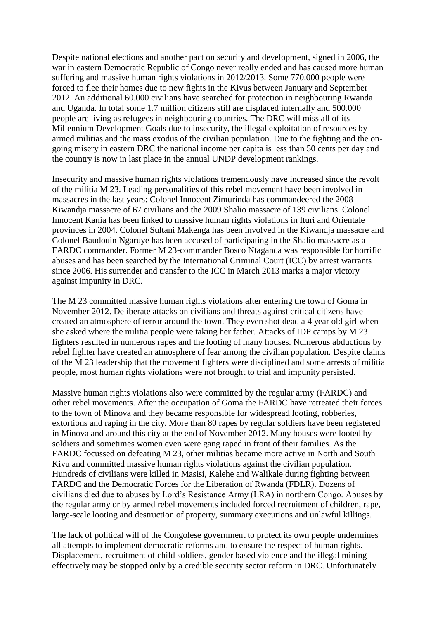Despite national elections and another pact on security and development, signed in 2006, the war in eastern Democratic Republic of Congo never really ended and has caused more human suffering and massive human rights violations in 2012/2013. Some 770.000 people were forced to flee their homes due to new fights in the Kivus between January and September 2012. An additional 60.000 civilians have searched for protection in neighbouring Rwanda and Uganda. In total some 1.7 million citizens still are displaced internally and 500.000 people are living as refugees in neighbouring countries. The DRC will miss all of its Millennium Development Goals due to insecurity, the illegal exploitation of resources by armed militias and the mass exodus of the civilian population. Due to the fighting and the ongoing misery in eastern DRC the national income per capita is less than 50 cents per day and the country is now in last place in the annual UNDP development rankings.

Insecurity and massive human rights violations tremendously have increased since the revolt of the militia M 23. Leading personalities of this rebel movement have been involved in massacres in the last years: Colonel Innocent Zimurinda has commandeered the 2008 Kiwandja massacre of 67 civilians and the 2009 Shalio massacre of 139 civilians. Colonel Innocent Kania has been linked to massive human rights violations in Ituri and Orientale provinces in 2004. Colonel Sultani Makenga has been involved in the Kiwandja massacre and Colonel Baudouin Ngaruye has been accused of participating in the Shalio massacre as a FARDC commander. Former M 23-commander Bosco Ntaganda was responsible for horrific abuses and has been searched by the International Criminal Court (ICC) by arrest warrants since 2006. His surrender and transfer to the ICC in March 2013 marks a major victory against impunity in DRC.

The M 23 committed massive human rights violations after entering the town of Goma in November 2012. Deliberate attacks on civilians and threats against critical citizens have created an atmosphere of terror around the town. They even shot dead a 4 year old girl when she asked where the militia people were taking her father. Attacks of IDP camps by M 23 fighters resulted in numerous rapes and the looting of many houses. Numerous abductions by rebel fighter have created an atmosphere of fear among the civilian population. Despite claims of the M 23 leadership that the movement fighters were disciplined and some arrests of militia people, most human rights violations were not brought to trial and impunity persisted.

Massive human rights violations also were committed by the regular army (FARDC) and other rebel movements. After the occupation of Goma the FARDC have retreated their forces to the town of Minova and they became responsible for widespread looting, robberies, extortions and raping in the city. More than 80 rapes by regular soldiers have been registered in Minova and around this city at the end of November 2012. Many houses were looted by soldiers and sometimes women even were gang raped in front of their families. As the FARDC focussed on defeating M 23, other militias became more active in North and South Kivu and committed massive human rights violations against the civilian population. Hundreds of civilians were killed in Masisi, Kalehe and Walikale during fighting between FARDC and the Democratic Forces for the Liberation of Rwanda (FDLR). Dozens of civilians died due to abuses by Lord's Resistance Army (LRA) in northern Congo. Abuses by the regular army or by armed rebel movements included forced recruitment of children, rape, large-scale looting and destruction of property, summary executions and unlawful killings.

The lack of political will of the Congolese government to protect its own people undermines all attempts to implement democratic reforms and to ensure the respect of human rights. Displacement, recruitment of child soldiers, gender based violence and the illegal mining effectively may be stopped only by a credible security sector reform in DRC. Unfortunately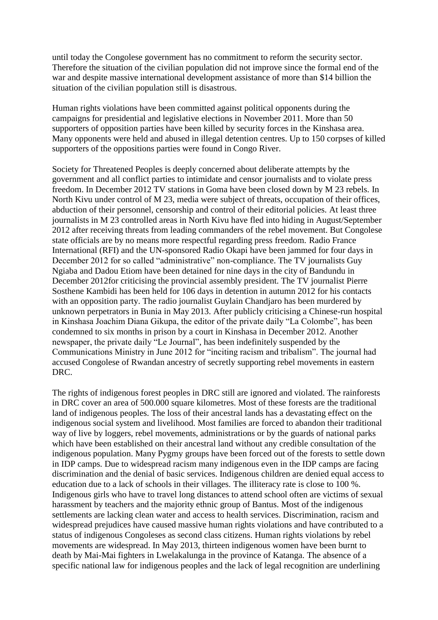until today the Congolese government has no commitment to reform the security sector. Therefore the situation of the civilian population did not improve since the formal end of the war and despite massive international development assistance of more than \$14 billion the situation of the civilian population still is disastrous.

Human rights violations have been committed against political opponents during the campaigns for presidential and legislative elections in November 2011. More than 50 supporters of opposition parties have been killed by security forces in the Kinshasa area. Many opponents were held and abused in illegal detention centres. Up to 150 corpses of killed supporters of the oppositions parties were found in Congo River.

Society for Threatened Peoples is deeply concerned about deliberate attempts by the government and all conflict parties to intimidate and censor journalists and to violate press freedom. In December 2012 TV stations in Goma have been closed down by M 23 rebels. In North Kivu under control of M 23, media were subject of threats, occupation of their offices, abduction of their personnel, censorship and control of their editorial policies. At least three journalists in M 23 controlled areas in North Kivu have fled into hiding in August/September 2012 after receiving threats from leading commanders of the rebel movement. But Congolese state officials are by no means more respectful regarding press freedom. Radio France International (RFI) and the UN-sponsored Radio Okapi have been jammed for four days in December 2012 for so called "administrative" non-compliance. The TV journalists Guy Ngiaba and Dadou Etiom have been detained for nine days in the city of Bandundu in December 2012for criticising the provincial assembly president. The TV journalist Pierre Sosthene Kambidi has been held for 106 days in detention in autumn 2012 for his contacts with an opposition party. The radio journalist Guylain Chandjaro has been murdered by unknown perpetrators in Bunia in May 2013. After publicly criticising a Chinese-run hospital in Kinshasa Joachim Diana Gikupa, the editor of the private daily "La Colombe", has been condemned to six months in prison by a court in Kinshasa in December 2012. Another newspaper, the private daily "Le Journal", has been indefinitely suspended by the Communications Ministry in June 2012 for "inciting racism and tribalism". The journal had accused Congolese of Rwandan ancestry of secretly supporting rebel movements in eastern DRC.

The rights of indigenous forest peoples in DRC still are ignored and violated. The rainforests in DRC cover an area of 500.000 square kilometres. Most of these forests are the traditional land of indigenous peoples. The loss of their ancestral lands has a devastating effect on the indigenous social system and livelihood. Most families are forced to abandon their traditional way of live by loggers, rebel movements, administrations or by the guards of national parks which have been established on their ancestral land without any credible consultation of the indigenous population. Many Pygmy groups have been forced out of the forests to settle down in IDP camps. Due to widespread racism many indigenous even in the IDP camps are facing discrimination and the denial of basic services. Indigenous children are denied equal access to education due to a lack of schools in their villages. The illiteracy rate is close to 100 %. Indigenous girls who have to travel long distances to attend school often are victims of sexual harassment by teachers and the majority ethnic group of Bantus. Most of the indigenous settlements are lacking clean water and access to health services. Discrimination, racism and widespread prejudices have caused massive human rights violations and have contributed to a status of indigenous Congoleses as second class citizens. Human rights violations by rebel movements are widespread. In May 2013, thirteen indigenous women have been burnt to death by Mai-Mai fighters in Lwelakalunga in the province of Katanga. The absence of a specific national law for indigenous peoples and the lack of legal recognition are underlining